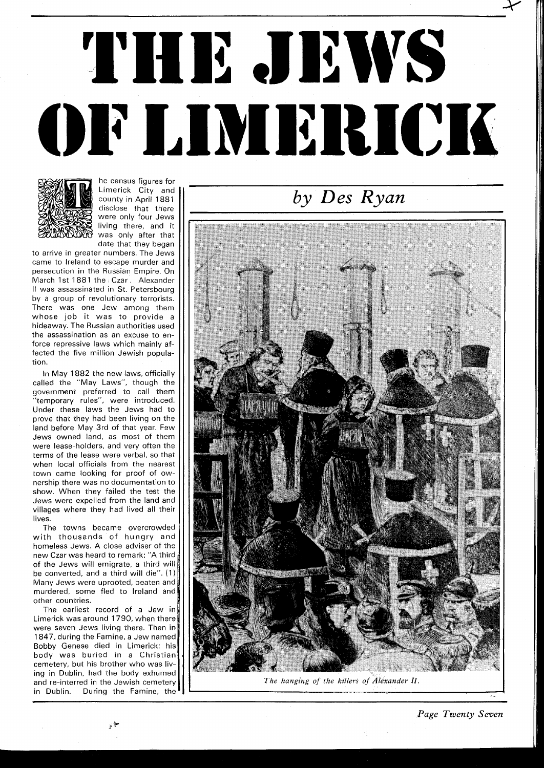## THE JEWS OF LIMERICK



he census figures for Limerick City and county in April 188 <sup>1</sup> disclose that there were only four Jews living there, and it was only after that date that they began

to arrive in greater numbers. The Jews came to Ireland to escape murder and persecution in the Russian Empire. On March 1st 1881 the Czar . Alexander II was assassinated in St. Petersbourg by a group of revolutionary terrorists. There was one Jew among them whose job it was to provide a hideaway. The Russian authorities used the assassination as an excuse to enforce repressive laws which mainly affected the five million Jewish population.

In May 1882 the new laws, officially called the "May Laws", though the government preferred to call them "temporary rules", were introduced. Under these laws the Jews had to prove that they had been living on the land before May 3rd of that year. Few Jews owned land, as most of them were lease-holders, and very often the terms of the lease were verbal, so that when local officials from the nearest town came looking for proof of ownership there was no documentation to show. When they failed the test the Jews were expelled from the land and villages where they had lived all their lives.

The towns became overcrowded with thousands of hungry and homeless Jews. A close adviser of the new Czar was heard to remark: "A third of the Jews will emigrate, a third will be converted, and a third will die". (1 Many Jews were uprooted, beaten and murdered, some fled to Ireland and other countries.

The earliest record of a Jew in Limerick was around 1790, when there were seven Jews living there. Then in 1847, during the Famine, a Jew named Bobby Genese died in Limerick; his^ body was buried in a Christian cemetery, but his brother who was living in Dublin, had the body exhumed and re-interred in the Jewish cemetery in Dublin. During the Famine, the

>\*



*Page Twenty Seven*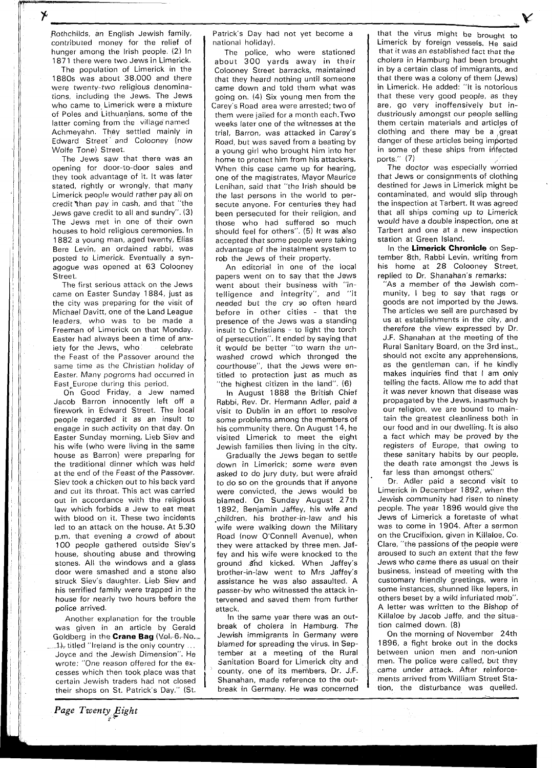Ý

,Rothchilds, an English Jewish family, contributed money for the relief of hunger among the Irish people. (2) In 1871 there were two Jews in Limerick.

The population of Limerick in the 1880s was about 38,000 and there were twenty-two religious denominations, including the Jews. The Jews who came to, Limerick were a mixture of Poles and Lithuanians, some of the latter coming from the village named Achmeyahn, They settled mainly in Edward Street and Colooney (now Wolfe Tone) Street.

The Jews saw that there was an opening for door-to-door sales and they took advantage of it. It was later stated, rightly or wronqly, that many Limerick people would rather pay all on credit than pay in cash, and that "the Jews gave credit to all and sundry". (3) The Jews met in one of their own houses to hold religious ceremonies. In 1882 a young man, aged twenty, Elias Bere Levin, an ordained rabbi, was posted to Limerick. Eventually a synagogue was opened at 63 Colooney Street.

The first serious attack on the Jews came on Easter Sunday 1884, just as the city was preparing for the visit of Michael Davitt, one of the Land League leaders, who was to be made a Freeman of Limerick on that Monday. Easter had always been a time of anxiety for the Jews, who celebrate the Feast of the Passover around the same time as the Christian holiday of Easter. Many pogroms had occurred in East Europe during this period.

On Good Friday, a Jew named Jacob Barron innocently left off a firework in Edward Street. The local people regarded it as an insult to engage in such activity on that day. On Easter Sunday morning, Lieb Siev and his wife (who were livinq in the same house as Barron) were preparing for the traditional dinner which was held at the end of the Feast of the Passover. Siev took a chicken out to his back yard and cut its throat. This act was carried out in accordance with the religious law which forbids a Jew to eat meat with blood on it. These two incidents led to an attack on the house. At 5.30 p.m, that evening a crowd of about 100 people gathered outside Siev's house, shouting abuse and throwing stones. All the windows and a glass door were smashed and a stone also struck Siev's daughter. Lieb Siev and his terrified family were trapped in the house for nearly two hours before the police arrived.

Another explanation for the trouble was given in an article by Gerald Goldberg in the **Crane Bag** (Vol. 6. No.,  $(1)_r$  titled "Ireland is the only country . Joyce and the Jewish Dimension". He wrote: "One reason offered for the excesses which then took place was that certain Jewish traders had not closed their shops on St. Patrick's Day." (St.

Patrick's Day had not yet become a national holiday).

The police, who were stationed about 300 yards away in their Colooney Street barracks, maintained that they heard nothing until someone came down and told them what was going on. (4) Six young men from the Carey's Road area were arrested; two of them were jailed for a month each.Two weeks later one of the witnesses at the trial, Barron, was attacked in Carey's Road, but was saved from a beating by a young girl who brought him into her home to protect him from his attackers. When this case came up for hearing, one of the magistrates, Mayor Maurice Lenihan, said that "the Irish should be the last persons in the world to persecute anyone. For centuries they had been persecuted for their reliqion, and those who had suffered so much should feel for others". (5) It was also accepted that some people were taking advantage of the instalment system to rob the Jews of their property.

An editorial in one of the local papers went on to say that the Jews went about their business with "intelligence and inteqrity", and "it needed but the cry so often heard before in other cities - that the presence of the Jews was a standing insult to Christians - to light the torch of persecution". It ended by saying that it would be better "to warn the unwashed crowd which thronged the courthouse", that the Jews were entitled to protection just as much as "the highest citizen in the land". (6)

In August 1888 the British Chief Rabbi, Rev. Dr. Hermann Adler, paid a visit to Dublin in an effort to resolve some problems among the members of his community there. On Auqust 14, he visiked Limerick to meet the eight Jewish families then livinq in the city.

Gradually the Jews beqan to settle down in Limerick; some were even asked to do jury duty, but were afraid to do so on the grounds that if anyone were convicted, the Jews would be blamed. On Sunday August 27th 1892, Benjamin Jaffey, his wife and .children, his brother-in-law and his wife were walking down the Military Road (now O'Connell Avenue), when they were attacked by three men. Jaffey and his wife were knocked to the ground and kicked. When Jaffey's brother-in-law went to Mrs Jaffey's assistance he was also assaulted. A passer-by who witnessed the attack intervened and saved them from further attack.

In the same year there was an outbreak of cholera in Hamburg. The Jewish immigrants in Germany were blamed for spreading the virus. In September at a meeting of the Rural Sanitation Board for Limerick city and county, one of its members, Dr. J.F. Shanahan, made reference to the outbreak in Germany. He was concerned that the virus might be brought to Limerick by foreign vessels. He said that it was an established fact that the cholera in Hamburg had been brought in by a certain class of immiqrants, and that there was a colony of them (Jews) in Limerick. He added: "It is notorious that these very good people, as they are, go very inoffensively but industriously amongst our people selling them certain materials and articles of clothing and there may be a great danger of these articles being imported in some of these ships from infected ports." (7)

The doctor was especially worried that Jews or consignments of clothing destined for Jews in Limerick might be contaminated, and would slip through the inspection at Tarbert. It was agreed that all ships coming up to Limerick would have a double inspection, one at Tarbert and one at a new inspection station at Green Island.

In the **Limerick Chronicle** on September 8th. Rabbi Levin, writing from his home at 28 Colooney Street, replied to Dr. Shanahan's remarks:

"As a member of the Jewish community, I beg to say that rags or goods are not imported by the Jews. The articles we sell are purchased by us at establishments in the city, and therefore the view expressed by Dr. J.F. Shanahan at the meeting of the Rural Sanitary Board, on the 3rd inst., should not excite any apprehensions, as the gentleman can, if he kindly makes inquiries find that I am only telling the facts. Allow me to add that it was never known that disease was propagated by the Jews, inasmuch by our religion, we are bound to maintain the greatest cleanliness both in our food and in our dwelling. It is aiso a fact which may be proved by the registers of Europe, that owing to these sanitary habits by our people, the death rate amongst the Jews is far less than amongst others.

Dr. Adler paid a second visit to Limerick in December 1892, when the Jewish community had risen to ninety people. The year 1896 would give the Jews of Limerick a foretaste of what was to come in 1904. After a sermon on the Crucifixion, given in Killaloe, Co. Clare, "the passions of the people were aroused to such an extent that the few Jews who came there as usual on their business, instead of meetinq with the customary friendly greetings, were in some instances, shunned like lepers, in others beset by a wild infuriated mob". A letter was written to the Bishop of Killaloe by Jacob Jaffe, and the situation calmed down. (8)

On the morning of November 24th 1896, a fight broke out in the docks between union men and non-union men. The police were called, but they came under attack. After reinforcements arrived from William Street Station, the disturbance was quelled.

*Page Twenty Eight*  \$ '.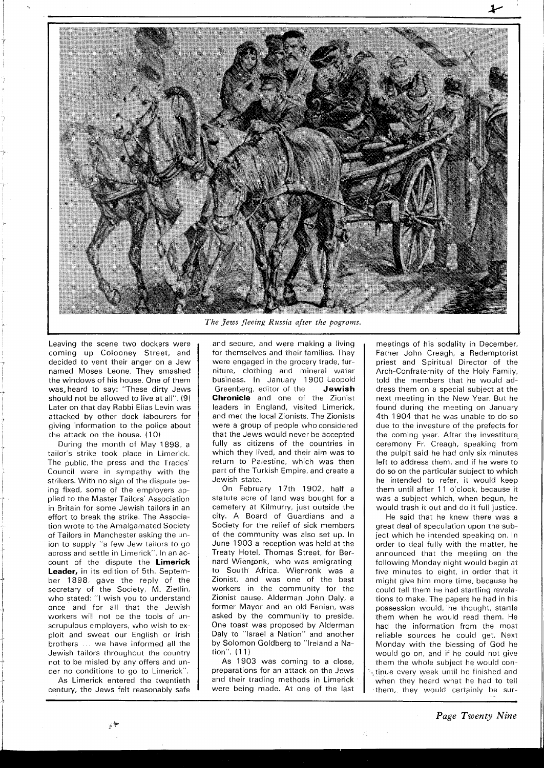

*The Jews fleeing Russia after the pogroms.* 

Leaving the scene two dockers were coming up Colooney Street, and decided to vent their anger on a Jew named Moses Leone. They smashed the windows of his house. One of them was, heard to say: "These dirty Jews should not be allowed to live at all". (9) Later on that day Rabbi Elias Levin was attacked by other dock labourers for giving information to the police about the attack on the house. (10)

During the month of May 1898, a tailor's strike took place in Limerick. The public, the press and the Trades' Council were in sympathy with the strikers. With no sign of the dispute being fixed, some of the employers applied to the Master Tailors' Association in Britain for some Jewish tailors in an effort to break the strike. The Association wrote to the Amalgamated Society of Tailors in Manchester asking the union to supply "a few Jew tailors to go across and settle in Limerick". In an account of the dispute the **Limerick Leader,** in its edition of 5th. September 1898, gave the reply of the secretary of the Society, M. Zietlin, who stated: "I wish you to understand once and for all that the Jewish workers will not be the tools of unscrupulous employers, who wish to exploit and sweat our English or Irish brothers ... we have informed all the Jewish tailors throughout the country not to be misled by any offers and under no conditions to go to Limerick".

As Limerick entered the twentieth century, the Jews felt reasonably safe and secure, and were makinq a living for themselves and their families. They were engaged in the grocery trade, furniture, clothing and mineral water business. In January 1900 Leopold Greenberg, editor of the **Jewish Chronicle** and one of the Zionist leaders in Enqland, visited Limerick, and met the local Zionists. The Zionists were a group of people who considered that the Jews would never be accepted fully as citizens of the countries in which they lived, and their aim was to return to Palestine, which was then part of the Turklsh Empire, and create a Jewish state.

On February 17th 1902, half a statute acre of land was bouqht for a cemetery at Kilmurry, just outside the city. A Board of Guardians and a Society for the relief of sick members of the community was also set up. In June 1903 a reception was held at the Treaty Hotel, Thomas Street, for Bernard Wientonk, who was emigrating to South Africa. Wienronk was a Zionist, and was one of the best workers in the community for the Zionist cause. Alderman John Daly, a former Mayor and an old Fenian, was asked by the community to preside. One toast was proposed by Alderman Daly to "Israel a Nation" and another by Solomon Goldberg to "Ireland a Nation". (1 1 )

As 1903 was cominq to a close, preparations for an attack on the Jews and their trading methods in Limerick were being made. At one of the last meetings of his sodality in December, Father John Creagh, a Redemptorist priest and Spiritual Director of the Arch-Confraternity of the Holy Family, told the members that he would address them on a special subject at the next meeting in the New Year. But he found during the meeting on January 4th 1904 that he was unable to do so due to the investure of the prefects for the coming year. After the investiture, ceremony Fr. Creagh, speaking from the pulpit said he had only six minutes left to address them, and if he were to do so on the particular subject to which he intended to refer, it would keep them until after 11 o'clock, because it was a subject which, when begun, he would trash it out and do it full justice.

He said that he knew there was a great deal of speculation upon the subject which he intended speaking on. In order to deal fully with the matter, he announced that the meeting on the following Monday night would begin at five minutes to eight, in order that it might give him more time, because he could tell them he had startling revelations to make. The papers he had in his possession would, he thought, startle them when he would read them. He had the information from the most reliable sources he could get. Next Monday with the blessing of God he would go on, and if he could not give them the whole subject he would continue every week until he finished and when they heard what he had to tell them, they would certainly be sur